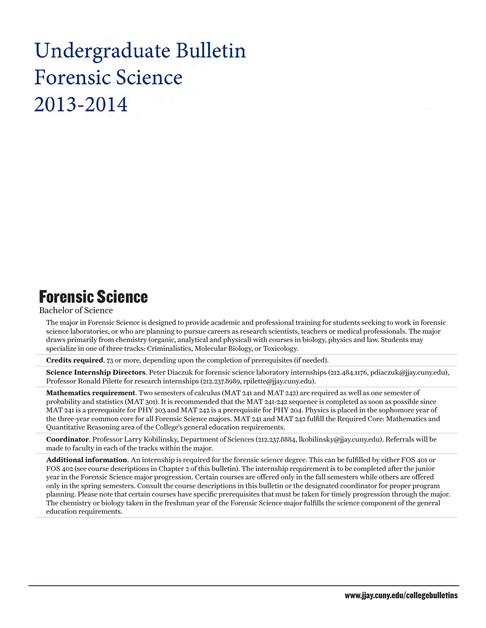# Undergraduate Bulletin **Forensic Science** 2013-2014

## Forensic Science

### Bachelor of Science

The major in Forensic Science is designed to provide academic and professional training for students seeking to work in forensic science laboratories, or who are planning to pursue careers as research scientists, teachers or medical professionals. The major draws primarily from chemistry (organic, analytical and physical) with courses in biology, physics and law. Students may specialize in one of three tracks: Criminalistics, Molecular Biology, or Toxicology.

**Credits required**. 73 or more, depending upon the completion of prerequisites (if needed).

**Science Internship Directors**. Peter Diaczuk for forensic science laboratory internships (212.484.1176, pdiaczuk@jjay.cuny.edu), Professor Ronald Pilette for research internships (212.237.8989, rpilette@jjay.cuny.edu).

**Mathematics requirement**. Two semesters of calculus (MAT 241 and MAT 242) are required as well as one semester of probability and statistics (MAT 301). It is recommended that the MAT 241-242 sequence is completed as soon as possible since MAT 241 is a prerequisite for PHY 203 and MAT 242 is a prerequisite for PHY 204. Physics is placed in the sophomore year of the three-year common core for all Forensic Science majors. MAT 241 and MAT 242 fulfill the Required Core: Mathematics and Quantitative Reasoning area of the College's general education requirements.

**Coordinator**. Professor Larry Kobilinsky, Department of Sciences (212.237.8884, lkobilinsky@jjay.cuny.edu). Referrals will be made to faculty in each of the tracks within the major.

**Additional information**. An internship is required for the forensic science degree. This can be fulfilled by either FOS 401 or FOS 402 (see course descriptions in Chapter 2 of this bulletin). The internship requirement is to be completed after the junior year in the Forensic Science major progression. Certain courses are offered only in the fall semesters while others are offered only in the spring semesters. Consult the course descriptions in this bulletin or the designated coordinator for proper program planning. Please note that certain courses have specific prerequisites that must be taken for timely progression through the major. The chemistry or biology taken in the freshman year of the Forensic Science major fulfills the science component of the general education requirements.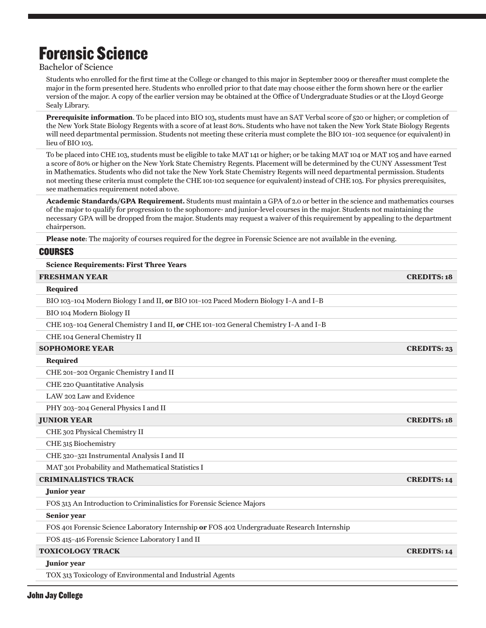# Forensic Science

Bachelor of Science

Students who enrolled for the first time at the College or changed to this major in September 2009 or thereafter must complete the major in the form presented here. Students who enrolled prior to that date may choose either the form shown here or the earlier version of the major. A copy of the earlier version may be obtained at the Office of Undergraduate Studies or at the Lloyd George Sealy Library.

**Prerequisite information**. To be placed into BIO 103, students must have an SAT Verbal score of 520 or higher; or completion of the New York State Biology Regents with a score of at least 80%. Students who have not taken the New York State Biology Regents will need departmental permission. Students not meeting these criteria must complete the BIO 101–102 sequence (or equivalent) in lieu of BIO 103.

To be placed into CHE 103, students must be eligible to take MAT 141 or higher; or be taking MAT 104 or MAT 105 and have earned a score of 80% or higher on the New York State Chemistry Regents. Placement will be determined by the CUNY Assessment Test in Mathematics. Students who did not take the New York State Chemistry Regents will need departmental permission. Students not meeting these criteria must complete the CHE 101-102 sequence (or equivalent) instead of CHE 103. For physics prerequisites, see mathematics requirement noted above.

**Academic Standards/GPA Requirement.** Students must maintain a GPA of 2.0 or better in the science and mathematics courses of the major to qualify for progression to the sophomore- and junior-level courses in the major. Students not maintaining the necessary GPA will be dropped from the major. Students may request a waiver of this requirement by appealing to the department chairperson.

**Please note**: The majority of courses required for the degree in Forensic Science are not available in the evening.

### Courses

#### **Science Requirements: First Three Years**

| <b>FRESHMAN YEAR</b>                                                                        | <b>CREDITS: 18</b> |
|---------------------------------------------------------------------------------------------|--------------------|
| Required                                                                                    |                    |
| BIO 103-104 Modern Biology I and II, or BIO 101-102 Paced Modern Biology I-A and I-B        |                    |
| BIO 104 Modern Biology II                                                                   |                    |
| CHE 103-104 General Chemistry I and II, or CHE 101-102 General Chemistry I-A and I-B        |                    |
| CHE 104 General Chemistry II                                                                |                    |
| <b>SOPHOMORE YEAR</b>                                                                       | <b>CREDITS: 23</b> |
| Required                                                                                    |                    |
| CHE 201-202 Organic Chemistry I and II                                                      |                    |
| CHE 220 Quantitative Analysis                                                               |                    |
| LAW 202 Law and Evidence                                                                    |                    |
| PHY 203-204 General Physics I and II                                                        |                    |
| <b>JUNIOR YEAR</b>                                                                          | <b>CREDITS: 18</b> |
| CHE 302 Physical Chemistry II                                                               |                    |
| CHE 315 Biochemistry                                                                        |                    |
| CHE 320-321 Instrumental Analysis I and II                                                  |                    |
| MAT 301 Probability and Mathematical Statistics I                                           |                    |
| <b>CRIMINALISTICS TRACK</b>                                                                 | <b>CREDITS: 14</b> |
| Junior year                                                                                 |                    |
| FOS 313 An Introduction to Criminalistics for Forensic Science Majors                       |                    |
| Senior year                                                                                 |                    |
| FOS 401 Forensic Science Laboratory Internship or FOS 402 Undergraduate Research Internship |                    |
| FOS 415-416 Forensic Science Laboratory I and II                                            |                    |
| <b>TOXICOLOGY TRACK</b>                                                                     | <b>CREDITS: 14</b> |
| Junior year                                                                                 |                    |

TOX 313 Toxicology of Environmental and Industrial Agents